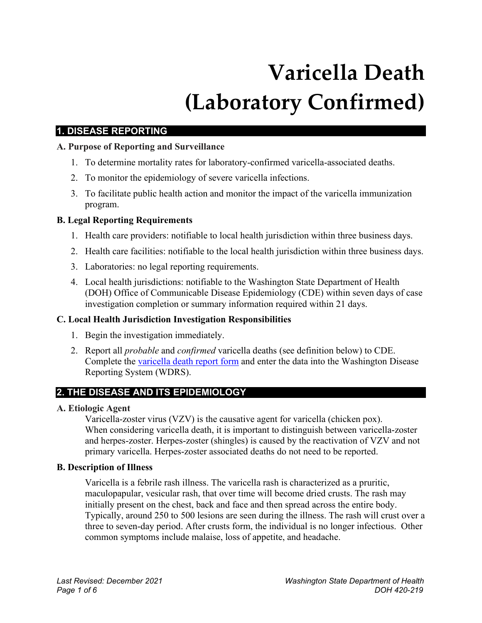# **Varicella Death (Laboratory Confirmed)**

# **1. DISEASE REPORTING**

## **A. Purpose of Reporting and Surveillance**

- 1. To determine mortality rates for laboratory-confirmed varicella-associated deaths.
- 2. To monitor the epidemiology of severe varicella infections.
- 3. To facilitate public health action and monitor the impact of the varicella immunization program.

## **B. Legal Reporting Requirements**

- 1. Health care providers: notifiable to local health jurisdiction within three business days.
- 2. Health care facilities: notifiable to the local health jurisdiction within three business days.
- 3. Laboratories: no legal reporting requirements.
- 4. Local health jurisdictions: notifiable to the Washington State Department of Health (DOH) Office of Communicable Disease Epidemiology (CDE) within seven days of case investigation completion or summary information required within 21 days.

## **C. Local Health Jurisdiction Investigation Responsibilities**

- 1. Begin the investigation immediately.
- 2. Report all *probable* and *confirmed* varicella deaths (see definition below) to CDE. Complete the [varicella](https://www.doh.wa.gov/Portals/1/Documents/5100/420-213-ReportForm-Varicella.pdf) death report form and enter the data into the Washington Disease Reporting System (WDRS).

# **2. THE DISEASE AND ITS EPIDEMIOLOGY**

## **A. Etiologic Agent**

Varicella-zoster virus (VZV) is the causative agent for varicella (chicken pox). When considering varicella death, it is important to distinguish between varicella-zoster and herpes-zoster. Herpes-zoster (shingles) is caused by the reactivation of VZV and not primary varicella. Herpes-zoster associated deaths do not need to be reported.

## **B. Description of Illness**

Varicella is a febrile rash illness. The varicella rash is characterized as a pruritic, maculopapular, vesicular rash, that over time will become dried crusts. The rash may initially present on the chest, back and face and then spread across the entire body. Typically, around 250 to 500 lesions are seen during the illness. The rash will crust over a three to seven-day period. After crusts form, the individual is no longer infectious. Other common symptoms include malaise, loss of appetite, and headache.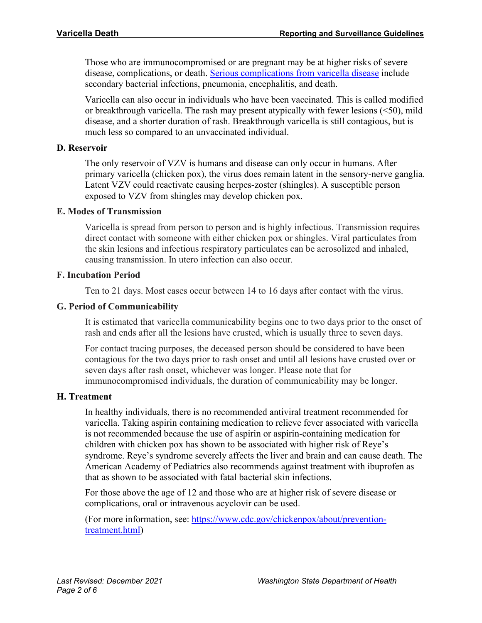Those who are immunocompromised or are pregnant may be at higher risks of severe disease, complications, or death. [Serious complications from varicella disease](https://www.cdc.gov/chickenpox/about/complications.html) include secondary bacterial infections, pneumonia, encephalitis, and death.

Varicella can also occur in individuals who have been vaccinated. This is called modified or breakthrough varicella. The rash may present atypically with fewer lesions (<50), mild disease, and a shorter duration of rash. Breakthrough varicella is still contagious, but is much less so compared to an unvaccinated individual.

#### **D. Reservoir**

The only reservoir of VZV is humans and disease can only occur in humans. After primary varicella (chicken pox), the virus does remain latent in the sensory-nerve ganglia. Latent VZV could reactivate causing herpes-zoster (shingles). A susceptible person exposed to VZV from shingles may develop chicken pox.

#### **E. Modes of Transmission**

Varicella is spread from person to person and is highly infectious. Transmission requires direct contact with someone with either chicken pox or shingles. Viral particulates from the skin lesions and infectious respiratory particulates can be aerosolized and inhaled, causing transmission. In utero infection can also occur.

## **F. Incubation Period**

Ten to 21 days. Most cases occur between 14 to 16 days after contact with the virus.

## **G. Period of Communicability**

It is estimated that varicella communicability begins one to two days prior to the onset of rash and ends after all the lesions have crusted, which is usually three to seven days.

For contact tracing purposes, the deceased person should be considered to have been contagious for the two days prior to rash onset and until all lesions have crusted over or seven days after rash onset, whichever was longer. Please note that for immunocompromised individuals, the duration of communicability may be longer.

## **H. Treatment**

In healthy individuals, there is no recommended antiviral treatment recommended for varicella. Taking aspirin containing medication to relieve fever associated with varicella is not recommended because the use of aspirin or aspirin-containing medication for children with chicken pox has shown to be associated with higher risk of Reye's syndrome. Reye's syndrome severely affects the liver and brain and can cause death. The American Academy of Pediatrics also recommends against treatment with ibuprofen as that as shown to be associated with fatal bacterial skin infections.

For those above the age of 12 and those who are at higher risk of severe disease or complications, oral or intravenous acyclovir can be used.

(For more information, see: [https://www.cdc.gov/chickenpox/about/prevention](https://www.cdc.gov/chickenpox/about/prevention-treatment.html)[treatment.html\)](https://www.cdc.gov/chickenpox/about/prevention-treatment.html)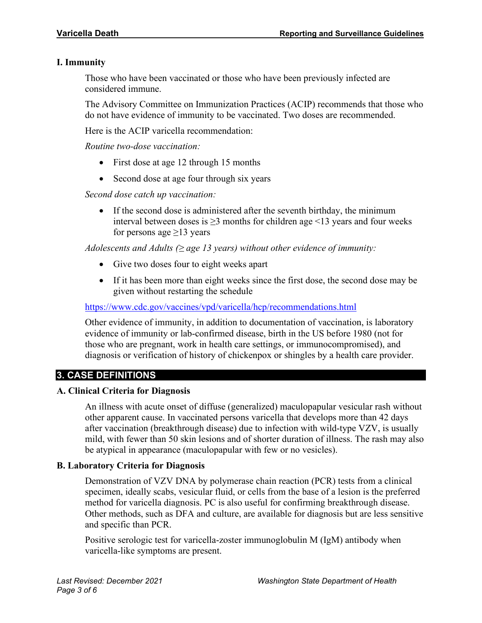## **I. Immunity**

Those who have been vaccinated or those who have been previously infected are considered immune.

The Advisory Committee on Immunization Practices (ACIP) recommends that those who do not have evidence of immunity to be vaccinated. Two doses are recommended.

Here is the ACIP varicella recommendation:

*Routine two-dose vaccination:* 

- First dose at age 12 through 15 months
- Second dose at age four through six years

*Second dose catch up vaccination:*

• If the second dose is administered after the seventh birthday, the minimum interval between doses is  $\geq$ 3 months for children age <13 years and four weeks for persons age  $\geq$ 13 years

*Adolescents and Adults (≥ age 13 years) without other evidence of immunity:*

- Give two doses four to eight weeks apart
- If it has been more than eight weeks since the first dose, the second dose may be given without restarting the schedule

<https://www.cdc.gov/vaccines/vpd/varicella/hcp/recommendations.html>

Other evidence of immunity, in addition to documentation of vaccination, is laboratory evidence of immunity or lab-confirmed disease, birth in the US before 1980 (not for those who are pregnant, work in health care settings, or immunocompromised), and diagnosis or verification of history of chickenpox or shingles by a health care provider.

## **3. CASE DEFINITIONS**

#### **A. Clinical Criteria for Diagnosis**

An illness with acute onset of diffuse (generalized) maculopapular vesicular rash without other apparent cause. In vaccinated persons varicella that develops more than 42 days after vaccination (breakthrough disease) due to infection with wild-type VZV, is usually mild, with fewer than 50 skin lesions and of shorter duration of illness. The rash may also be atypical in appearance (maculopapular with few or no vesicles).

## **B. Laboratory Criteria for Diagnosis**

Demonstration of VZV DNA by polymerase chain reaction (PCR) tests from a clinical specimen, ideally scabs, vesicular fluid, or cells from the base of a lesion is the preferred method for varicella diagnosis. PC is also useful for confirming breakthrough disease. Other methods, such as DFA and culture, are available for diagnosis but are less sensitive and specific than PCR.

Positive serologic test for varicella-zoster immunoglobulin M (IgM) antibody when varicella-like symptoms are present.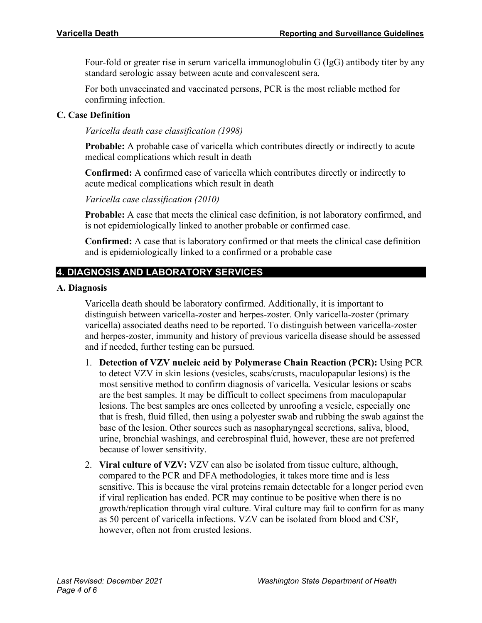Four-fold or greater rise in serum varicella immunoglobulin G (IgG) antibody titer by any standard serologic assay between acute and convalescent sera.

For both unvaccinated and vaccinated persons, PCR is the most reliable method for confirming infection.

## **C. Case Definition**

*Varicella death case classification (1998)*

**Probable:** A probable case of varicella which contributes directly or indirectly to acute medical complications which result in death

**Confirmed:** A confirmed case of varicella which contributes directly or indirectly to acute medical complications which result in death

*Varicella case classification (2010)*

**Probable:** A case that meets the clinical case definition, is not laboratory confirmed, and is not epidemiologically linked to another probable or confirmed case.

**Confirmed:** A case that is laboratory confirmed or that meets the clinical case definition and is epidemiologically linked to a confirmed or a probable case

# **4. DIAGNOSIS AND LABORATORY SERVICES**

#### **A. Diagnosis**

Varicella death should be laboratory confirmed. Additionally, it is important to distinguish between varicella-zoster and herpes-zoster. Only varicella-zoster (primary varicella) associated deaths need to be reported. To distinguish between varicella-zoster and herpes-zoster, immunity and history of previous varicella disease should be assessed and if needed, further testing can be pursued.

- 1. **Detection of VZV nucleic acid by Polymerase Chain Reaction (PCR):** Using PCR to detect VZV in skin lesions (vesicles, scabs/crusts, maculopapular lesions) is the most sensitive method to confirm diagnosis of varicella. Vesicular lesions or scabs are the best samples. It may be difficult to collect specimens from maculopapular lesions. The best samples are ones collected by unroofing a vesicle, especially one that is fresh, fluid filled, then using a polyester swab and rubbing the swab against the base of the lesion. Other sources such as nasopharyngeal secretions, saliva, blood, urine, bronchial washings, and cerebrospinal fluid, however, these are not preferred because of lower sensitivity.
- 2. **Viral culture of VZV:** VZV can also be isolated from tissue culture, although, compared to the PCR and DFA methodologies, it takes more time and is less sensitive. This is because the viral proteins remain detectable for a longer period even if viral replication has ended. PCR may continue to be positive when there is no growth/replication through viral culture. Viral culture may fail to confirm for as many as 50 percent of varicella infections. VZV can be isolated from blood and CSF, however, often not from crusted lesions.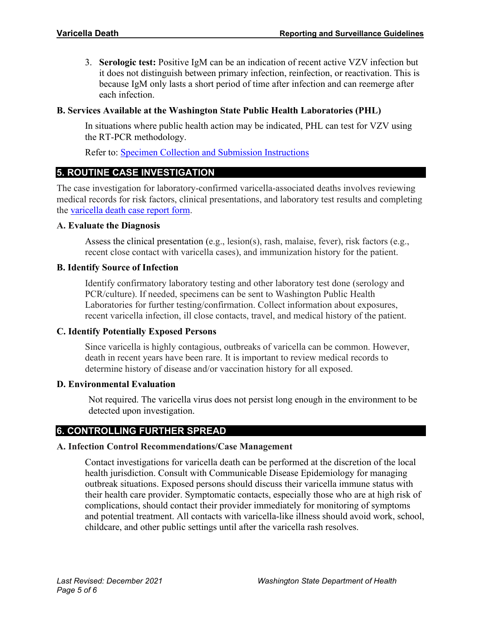3. **Serologic test:** Positive IgM can be an indication of recent active VZV infection but it does not distinguish between primary infection, reinfection, or reactivation. This is because IgM only lasts a short period of time after infection and can reemerge after each infection.

## **B. Services Available at the Washington State Public Health Laboratories (PHL)**

In situations where public health action may be indicated, PHL can test for VZV using the RT-PCR methodology.

Refer to: [Specimen Collection and Submission Instructions](https://www.doh.wa.gov/Portals/1/Documents/5240/SCSI-VZV-V2.pdf)

## **5. ROUTINE CASE INVESTIGATION**

The case investigation for laboratory-confirmed varicella-associated deaths involves reviewing medical records for risk factors, clinical presentations, and laboratory test results and completing the [varicella death case report form.](https://www.doh.wa.gov/Portals/1/Documents/5100/420-213-ReportForm-Varicella.pdf)

## **A. Evaluate the Diagnosis**

Assess the clinical presentation (e.g., lesion(s), rash, malaise, fever), risk factors (e.g., recent close contact with varicella cases), and immunization history for the patient.

## **B. Identify Source of Infection**

Identify confirmatory laboratory testing and other laboratory test done (serology and PCR/culture). If needed, specimens can be sent to Washington Public Health Laboratories for further testing/confirmation. Collect information about exposures, recent varicella infection, ill close contacts, travel, and medical history of the patient.

## **C. Identify Potentially Exposed Persons**

Since varicella is highly contagious, outbreaks of varicella can be common. However, death in recent years have been rare. It is important to review medical records to determine history of disease and/or vaccination history for all exposed.

#### **D. Environmental Evaluation**

Not required. The varicella virus does not persist long enough in the environment to be detected upon investigation.

# **6. CONTROLLING FURTHER SPREAD**

## **A. Infection Control Recommendations/Case Management**

Contact investigations for varicella death can be performed at the discretion of the local health jurisdiction. Consult with Communicable Disease Epidemiology for managing outbreak situations. Exposed persons should discuss their varicella immune status with their health care provider. Symptomatic contacts, especially those who are at high risk of complications, should contact their provider immediately for monitoring of symptoms and potential treatment. All contacts with varicella-like illness should avoid work, school, childcare, and other public settings until after the varicella rash resolves.